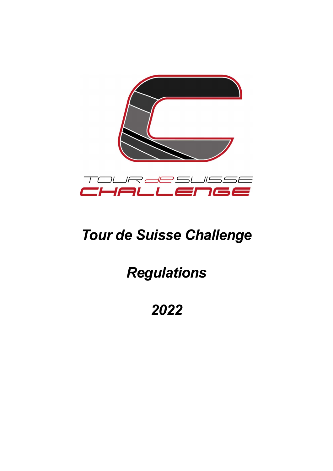

# Tour de Suisse Challenge

# Regulations

2022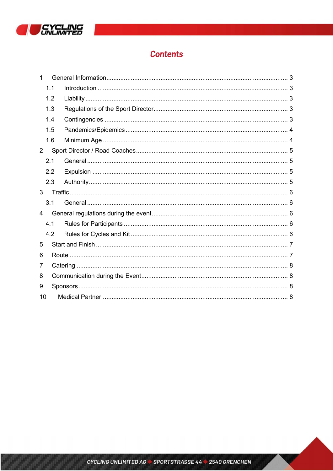

# **Contents**

|                | 1.1 |  |  |
|----------------|-----|--|--|
|                | 1.2 |  |  |
|                | 1.3 |  |  |
|                | 1.4 |  |  |
|                | 1.5 |  |  |
|                | 1.6 |  |  |
| $\overline{2}$ |     |  |  |
|                | 2.1 |  |  |
|                | 2.2 |  |  |
|                | 2.3 |  |  |
| 3              |     |  |  |
|                | 3.1 |  |  |
| 4              |     |  |  |
|                | 4.1 |  |  |
|                | 4.2 |  |  |
| 5              |     |  |  |
| 6              |     |  |  |
| 7              |     |  |  |
| 8              |     |  |  |
| 9              |     |  |  |
| 10             |     |  |  |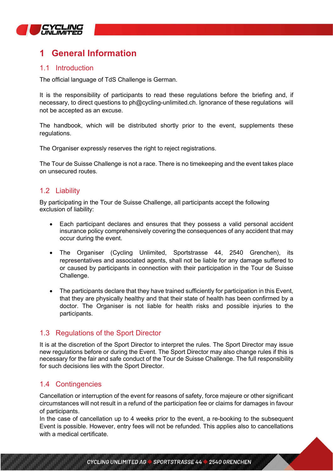

# 1 General Information

## 1.1 Introduction

The official language of TdS Challenge is German.

It is the responsibility of participants to read these regulations before the briefing and, if necessary, to direct questions to ph@cycling-unlimited.ch. Ignorance of these regulations will not be accepted as an excuse.

The handbook, which will be distributed shortly prior to the event, supplements these regulations.

The Organiser expressly reserves the right to reject registrations.

The Tour de Suisse Challenge is not a race. There is no timekeeping and the event takes place on unsecured routes.

### 1.2 Liability

By participating in the Tour de Suisse Challenge, all participants accept the following exclusion of liability:

- Each participant declares and ensures that they possess a valid personal accident insurance policy comprehensively covering the consequences of any accident that may occur during the event.
- The Organiser (Cycling Unlimited, Sportstrasse 44, 2540 Grenchen), its representatives and associated agents, shall not be liable for any damage suffered to or caused by participants in connection with their participation in the Tour de Suisse Challenge.
- The participants declare that they have trained sufficiently for participation in this Event, that they are physically healthy and that their state of health has been confirmed by a doctor. The Organiser is not liable for health risks and possible injuries to the participants.

### 1.3 Regulations of the Sport Director

It is at the discretion of the Sport Director to interpret the rules. The Sport Director may issue new regulations before or during the Event. The Sport Director may also change rules if this is necessary for the fair and safe conduct of the Tour de Suisse Challenge. The full responsibility for such decisions lies with the Sport Director.

## 1.4 Contingencies

Cancellation or interruption of the event for reasons of safety, force majeure or other significant circumstances will not result in a refund of the participation fee or claims for damages in favour of participants.

In the case of cancellation up to 4 weeks prior to the event, a re-booking to the subsequent Event is possible. However, entry fees will not be refunded. This applies also to cancellations with a medical certificate.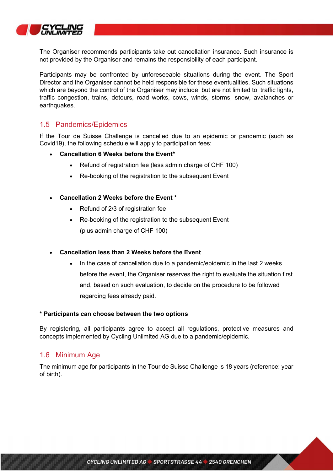

The Organiser recommends participants take out cancellation insurance. Such insurance is not provided by the Organiser and remains the responsibility of each participant.

Participants may be confronted by unforeseeable situations during the event. The Sport Director and the Organiser cannot be held responsible for these eventualities. Such situations which are beyond the control of the Organiser may include, but are not limited to, traffic lights, traffic congestion, trains, detours, road works, cows, winds, storms, snow, avalanches or earthquakes.

### 1.5 Pandemics/Epidemics

If the Tour de Suisse Challenge is cancelled due to an epidemic or pandemic (such as Covid19), the following schedule will apply to participation fees:

- Cancellation 6 Weeks before the Event\*
	- Refund of registration fee (less admin charge of CHF 100)
	- Re-booking of the registration to the subsequent Event

#### Cancellation 2 Weeks before the Event \*

- Refund of 2/3 of registration fee
- Re-booking of the registration to the subsequent Event (plus admin charge of CHF 100)

#### Cancellation less than 2 Weeks before the Event

 In the case of cancellation due to a pandemic/epidemic in the last 2 weeks before the event, the Organiser reserves the right to evaluate the situation first and, based on such evaluation, to decide on the procedure to be followed regarding fees already paid.

#### \* Participants can choose between the two options

By registering, all participants agree to accept all regulations, protective measures and concepts implemented by Cycling Unlimited AG due to a pandemic/epidemic.

### 1.6 Minimum Age

The minimum age for participants in the Tour de Suisse Challenge is 18 years (reference: year of birth).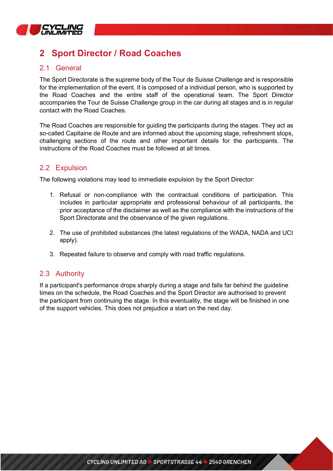

# **Sport Director / Road Coaches**

## 2.1 General

The Sport Directorate is the supreme body of the Tour de Suisse Challenge and is responsible for the implementation of the event. It is composed of a individual person, who is supported by the Road Coaches and the entire staff of the operational team. The Sport Director accompanies the Tour de Suisse Challenge group in the car during all stages and is in regular contact with the Road Coaches.

The Road Coaches are responsible for guiding the participants during the stages. They act as so-called Capitaine de Route and are informed about the upcoming stage, refreshment stops, challenging sections of the route and other important details for the participants. The instructions of the Road Coaches must be followed at all times.

## 2.2 Expulsion

The following violations may lead to immediate expulsion by the Sport Director:

- 1. Refusal or non-compliance with the contractual conditions of participation. This includes in particular appropriate and professional behaviour of all participants, the prior acceptance of the disclaimer as well as the compliance with the instructions of the Sport Directorate and the observance of the given regulations.
- 2. The use of prohibited substances (the latest regulations of the WADA, NADA and UCI apply).
- 3. Repeated failure to observe and comply with road traffic regulations.

## 2.3 Authority

If a participant's performance drops sharply during a stage and falls far behind the guideline times on the schedule, the Road Coaches and the Sport Director are authorised to prevent the participant from continuing the stage. In this eventuality, the stage will be finished in one of the support vehicles. This does not prejudice a start on the next day.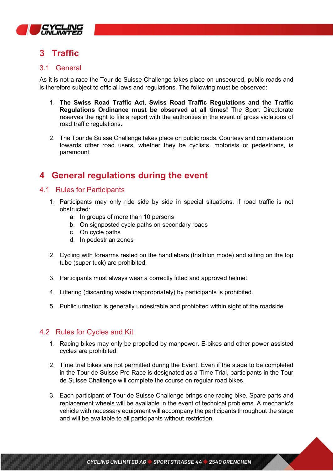

# 3 Traffic

## 3.1 General

As it is not a race the Tour de Suisse Challenge takes place on unsecured, public roads and is therefore subject to official laws and regulations. The following must be observed:

- 1. The Swiss Road Traffic Act, Swiss Road Traffic Regulations and the Traffic Regulations Ordinance must be observed at all times! The Sport Directorate reserves the right to file a report with the authorities in the event of gross violations of road traffic regulations.
- 2. The Tour de Suisse Challenge takes place on public roads. Courtesy and consideration towards other road users, whether they be cyclists, motorists or pedestrians, is paramount.

# 4 General regulations during the event

## 4.1 Rules for Participants

- 1. Participants may only ride side by side in special situations, if road traffic is not obstructed:
	- a. In groups of more than 10 persons
	- b. On signposted cycle paths on secondary roads
	- c. On cycle paths
	- d. In pedestrian zones
- 2. Cycling with forearms rested on the handlebars (triathlon mode) and sitting on the top tube (super tuck) are prohibited.
- 3. Participants must always wear a correctly fitted and approved helmet.
- 4. Littering (discarding waste inappropriately) by participants is prohibited.
- 5. Public urination is generally undesirable and prohibited within sight of the roadside.

## 4.2 Rules for Cycles and Kit

- 1. Racing bikes may only be propelled by manpower. E-bikes and other power assisted cycles are prohibited.
- 2. Time trial bikes are not permitted during the Event. Even if the stage to be completed in the Tour de Suisse Pro Race is designated as a Time Trial, participants in the Tour de Suisse Challenge will complete the course on regular road bikes.
- 3. Each participant of Tour de Suisse Challenge brings one racing bike. Spare parts and replacement wheels will be available in the event of technical problems. A mechanic's vehicle with necessary equipment will accompany the participants throughout the stage and will be available to all participants without restriction.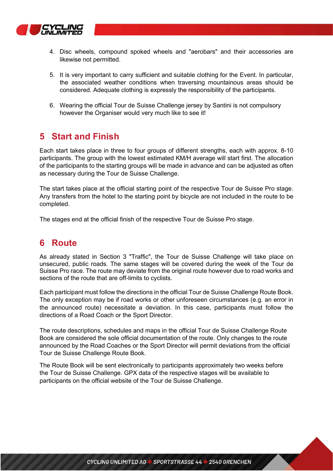

- 4. Disc wheels, compound spoked wheels and "aerobars" and their accessories are likewise not permitted.
- 5. It is very important to carry sufficient and suitable clothing for the Event. In particular, the associated weather conditions when traversing mountainous areas should be considered. Adequate clothing is expressly the responsibility of the participants.
- 6. Wearing the official Tour de Suisse Challenge jersey by Santini is not compulsory however the Organiser would very much like to see it!

## 5 Start and Finish

Each start takes place in three to four groups of different strengths, each with approx. 8-10 participants. The group with the lowest estimated KM/H average will start first. The allocation of the participants to the starting groups will be made in advance and can be adjusted as often as necessary during the Tour de Suisse Challenge.

The start takes place at the official starting point of the respective Tour de Suisse Pro stage. Any transfers from the hotel to the starting point by bicycle are not included in the route to be completed.

The stages end at the official finish of the respective Tour de Suisse Pro stage.

# 6 Route

As already stated in Section 3 "Traffic", the Tour de Suisse Challenge will take place on unsecured, public roads. The same stages will be covered during the week of the Tour de Suisse Pro race. The route may deviate from the original route however due to road works and sections of the route that are off-limits to cyclists.

Each participant must follow the directions in the official Tour de Suisse Challenge Route Book. The only exception may be if road works or other unforeseen circumstances (e.g. an error in the announced route) necessitate a deviation. In this case, participants must follow the directions of a Road Coach or the Sport Director.

The route descriptions, schedules and maps in the official Tour de Suisse Challenge Route Book are considered the sole official documentation of the route. Only changes to the route announced by the Road Coaches or the Sport Director will permit deviations from the official Tour de Suisse Challenge Route Book.

The Route Book will be sent electronically to participants approximately two weeks before the Tour de Suisse Challenge. GPX data of the respective stages will be available to participants on the official website of the Tour de Suisse Challenge.